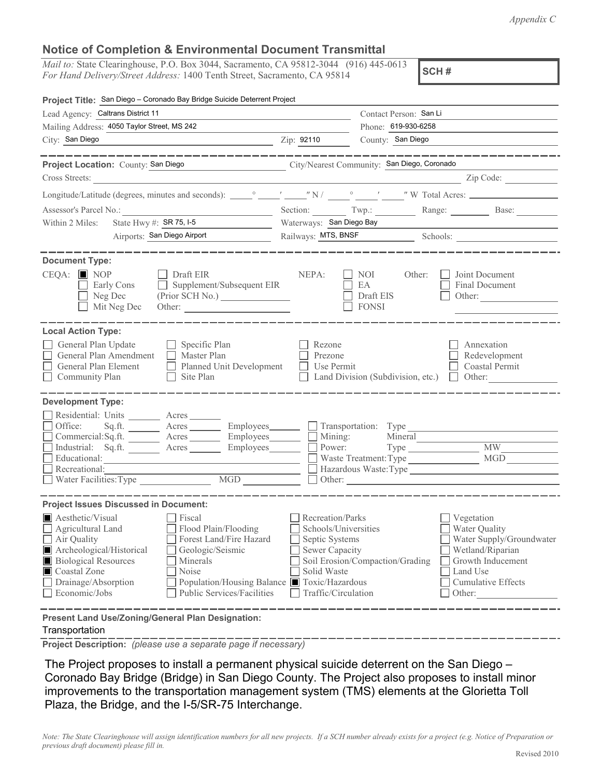*Appendix C*

## **Notice of Completion & Environmental Document Transmittal**

*Mail to:* State Clearinghouse, P.O. Box 3044, Sacramento, CA 95812-3044 (916) 445-0613 *For Hand Delivery/Street Address:* 1400 Tenth Street, Sacramento, CA 95814

**SCH #**

| Project Title: San Diego - Coronado Bay Bridge Suicide Deterrent Project                                                                                                                                                                                                                                                                                                             |                                                                                                                                                                                                                                                                                                                                                              |                                                    |                                                                                                                                                                                                                                                                                                                                                                                                                     |  |
|--------------------------------------------------------------------------------------------------------------------------------------------------------------------------------------------------------------------------------------------------------------------------------------------------------------------------------------------------------------------------------------|--------------------------------------------------------------------------------------------------------------------------------------------------------------------------------------------------------------------------------------------------------------------------------------------------------------------------------------------------------------|----------------------------------------------------|---------------------------------------------------------------------------------------------------------------------------------------------------------------------------------------------------------------------------------------------------------------------------------------------------------------------------------------------------------------------------------------------------------------------|--|
| Lead Agency: Caltrans District 11                                                                                                                                                                                                                                                                                                                                                    |                                                                                                                                                                                                                                                                                                                                                              | Contact Person: San Li                             |                                                                                                                                                                                                                                                                                                                                                                                                                     |  |
| Mailing Address: 4050 Taylor Street, MS 242                                                                                                                                                                                                                                                                                                                                          |                                                                                                                                                                                                                                                                                                                                                              | Phone: 619-930-6258                                |                                                                                                                                                                                                                                                                                                                                                                                                                     |  |
| City: San Diego<br><u> 1989 - Johann Stein, mars an deutscher Stein und der Stein und der Stein und der Stein und der Stein und der</u>                                                                                                                                                                                                                                              | Zip: 92110                                                                                                                                                                                                                                                                                                                                                   | County: San Diego                                  |                                                                                                                                                                                                                                                                                                                                                                                                                     |  |
|                                                                                                                                                                                                                                                                                                                                                                                      |                                                                                                                                                                                                                                                                                                                                                              |                                                    |                                                                                                                                                                                                                                                                                                                                                                                                                     |  |
| Project Location: County: San Diego City/Nearest Community: San Diego, Coronado                                                                                                                                                                                                                                                                                                      |                                                                                                                                                                                                                                                                                                                                                              |                                                    |                                                                                                                                                                                                                                                                                                                                                                                                                     |  |
| Cross Streets:                                                                                                                                                                                                                                                                                                                                                                       |                                                                                                                                                                                                                                                                                                                                                              |                                                    | $\frac{1}{\sqrt{1-\frac{1}{2}}\sqrt{1-\frac{1}{2}}\sqrt{1-\frac{1}{2}}\sqrt{1-\frac{1}{2}}}}$ $\frac{Zip \text{ Code:}\n}{\sqrt{1-\frac{1}{2}}\sqrt{1-\frac{1}{2}}\sqrt{1-\frac{1}{2}}\sqrt{1-\frac{1}{2}}\sqrt{1-\frac{1}{2}}\sqrt{1-\frac{1}{2}}\sqrt{1-\frac{1}{2}}\sqrt{1-\frac{1}{2}}\sqrt{1-\frac{1}{2}}\sqrt{1-\frac{1}{2}}\sqrt{1-\frac{1}{2}}\sqrt{1-\frac{1}{2}}\sqrt{1-\frac{1}{2}}\sqrt{1-\frac{1}{2}}$ |  |
|                                                                                                                                                                                                                                                                                                                                                                                      |                                                                                                                                                                                                                                                                                                                                                              |                                                    |                                                                                                                                                                                                                                                                                                                                                                                                                     |  |
| Assessor's Parcel No.:<br><u> 1980 - Johann Barn, mars ann an t-Amhain an t-Amhain an t-Amhain an t-Amhain an t-Amhain an t-Amhain an t-Amh</u>                                                                                                                                                                                                                                      |                                                                                                                                                                                                                                                                                                                                                              |                                                    | Section: Twp.: Range: Base:                                                                                                                                                                                                                                                                                                                                                                                         |  |
| State Hwy $\#$ : SR 75, I-5<br>Within 2 Miles:<br><u> 1990 - Johann Barbara, martin a</u>                                                                                                                                                                                                                                                                                            | Waterways: San Diego Bay                                                                                                                                                                                                                                                                                                                                     |                                                    |                                                                                                                                                                                                                                                                                                                                                                                                                     |  |
| Airports: San Diego Airport                                                                                                                                                                                                                                                                                                                                                          |                                                                                                                                                                                                                                                                                                                                                              |                                                    |                                                                                                                                                                                                                                                                                                                                                                                                                     |  |
|                                                                                                                                                                                                                                                                                                                                                                                      |                                                                                                                                                                                                                                                                                                                                                              |                                                    |                                                                                                                                                                                                                                                                                                                                                                                                                     |  |
| <b>Document Type:</b><br>$CEQA:$ MOP<br>Draft EIR<br>Supplement/Subsequent EIR<br>Early Cons<br>Neg Dec<br>Mit Neg Dec<br>Other:                                                                                                                                                                                                                                                     | NEPA:                                                                                                                                                                                                                                                                                                                                                        | NOI –<br>Other:<br>EA<br>Draft EIS<br><b>FONSI</b> | Joint Document<br>Final Document<br>Other:                                                                                                                                                                                                                                                                                                                                                                          |  |
| <b>Local Action Type:</b><br>General Plan Update<br>$\Box$ Specific Plan<br>General Plan Amendment<br>$\Box$ Master Plan<br>General Plan Element<br>Planned Unit Development<br>$\Box$ Site Plan<br>Community Plan                                                                                                                                                                   | Rezone<br>Prezone<br>Use Permit                                                                                                                                                                                                                                                                                                                              | Land Division (Subdivision, etc.)                  | Annexation<br>Redevelopment<br>Coastal Permit<br>$\Box$ Other:                                                                                                                                                                                                                                                                                                                                                      |  |
| <b>Development Type:</b>                                                                                                                                                                                                                                                                                                                                                             |                                                                                                                                                                                                                                                                                                                                                              |                                                    |                                                                                                                                                                                                                                                                                                                                                                                                                     |  |
| Residential: Units ________ Acres _______<br>Office:<br>Sq.ft. ________ Acres _________ Employees _______ __ Transportation: Type _________________________<br>Commercial:Sq.ft. ________ Acres _________ Employees ________ __ Mining:<br>Industrial: Sq.ft. <u>Acres</u> Acres Employees <b>Employees</b> Rever:<br>Educational:<br>Recreational:<br>MGD<br>Water Facilities: Type |                                                                                                                                                                                                                                                                                                                                                              | Mineral                                            | Type MW<br>Hazardous Waste:Type                                                                                                                                                                                                                                                                                                                                                                                     |  |
| <b>Project Issues Discussed in Document:</b>                                                                                                                                                                                                                                                                                                                                         |                                                                                                                                                                                                                                                                                                                                                              |                                                    |                                                                                                                                                                                                                                                                                                                                                                                                                     |  |
| Aesthetic/Visual<br>Fiscal<br>Flood Plain/Flooding<br>Agricultural Land<br>Air Quality<br>Forest Land/Fire Hazard<br>Archeological/Historical<br>Geologic/Seismic<br><b>Biological Resources</b><br>Minerals<br>Coastal Zone<br>Noise<br>Drainage/Absorption<br>Economic/Jobs<br>Public Services/Facilities                                                                          | Recreation/Parks<br>Vegetation<br>Water Quality<br>Schools/Universities<br>Water Supply/Groundwater<br>Septic Systems<br><b>Sewer Capacity</b><br>Wetland/Riparian<br>Soil Erosion/Compaction/Grading<br>Growth Inducement<br>Solid Waste<br>Land Use<br>Population/Housing Balance ■ Toxic/Hazardous<br>Cumulative Effects<br>Traffic/Circulation<br>Other: |                                                    |                                                                                                                                                                                                                                                                                                                                                                                                                     |  |
| Present Land Use/Zoning/General Plan Designation:                                                                                                                                                                                                                                                                                                                                    |                                                                                                                                                                                                                                                                                                                                                              |                                                    |                                                                                                                                                                                                                                                                                                                                                                                                                     |  |

## Transportation

**Project Description:** *(please use a separate page if necessary)*

 The Project proposes to install a permanent physical suicide deterrent on the San Diego – Coronado Bay Bridge (Bridge) in San Diego County. The Project also proposes to install minor improvements to the transportation management system (TMS) elements at the Glorietta Toll Plaza, the Bridge, and the I-5/SR-75 Interchange.

*Note: The State Clearinghouse will assign identification numbers for all new projects. If a SCH number already exists for a project (e.g. Notice of Preparation or previous draft document) please fill in.*